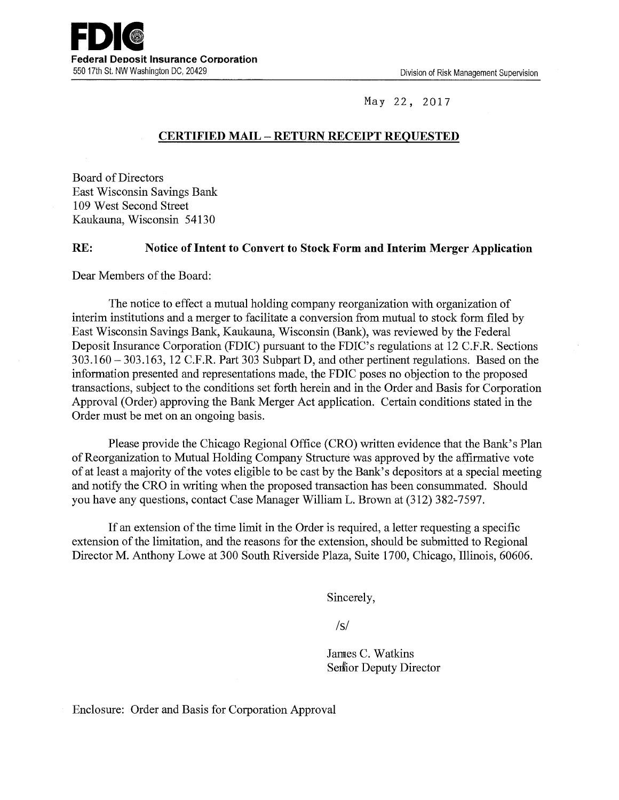

May 22, 2017

## **CERTIFIED MAIL - RETURN RECEIPT REQUESTED**

Board of Directors East Wisconsin Savings Bank 109 West Second Street Kaukauna, Wisconsin 54130

## **RE: Notice of Intent to Convert to Stock Form and Interim Merger Application**

Dear Members of the Board:

The notice to effect a mutual holding company reorganization with organization of interim institutions and a merger to facilitate a conversion from mutual to stock form filed by East Wisconsin Savings Bank, Kaukauna, Wisconsin (Bank), was reviewed by the Federal Deposit Insurance Corporation (FDIC) pursuant to the FDIC's regulations at 12 C.F.R. Sections 303.160- 303.163, 12 C.F.R. Part 303 Subpart D, and other pertinent regulations. Based on the information presented and representations made, the FDIC poses no objection to the proposed transactions, subject to the conditions set forth herein and in the Order and Basis for Corporation Approval (Order) approving the Bank Merger Act application. Certain conditions stated in the Order must be met on an ongoing basis.

Please provide the Chicago Regional Office (CRO) written evidence that the Bank's Plan of Reorganization to Mutual Holding Company Structure was approved by the affirmative vote of at least a majority of the votes eligible to be cast by the Bank's depositors at a special meeting and notify the CRO in writing when the proposed transaction has been consummated. Should you have any questions, contact Case Manager William L. Brown at (312) 382-7597.

If an extension of the time limit in the Order is required, a letter requesting a specific extension of the limitation, and the reasons for the extension, should be submitted to Regional Director M. Anthony Lowe at 300 South Riverside Plaza, Suite 1700, Chicago, Illinois, 60606.

Sincerely,

 $\sqrt{s}$ 

Jannes C. Watkins Senlior Deputy Director

Enclosure: Order and Basis for Corporation Approval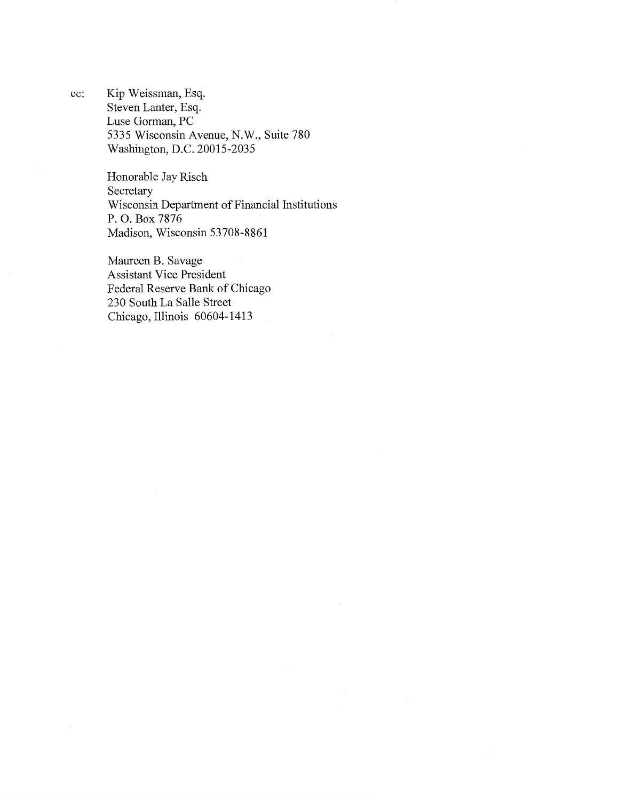cc: Kip Weissman, Esq. Steven Lanter, Esq. Luse Gorman, PC 5335 Wisconsin Avenue, N.W., Suite 780 Washington, D.C. 20015-2035

> Honorable Jay Risch Secretary Wisconsin Department of Financial Institutions P. 0. Box 7876 Madison, Wisconsin 53708-8861

Maureen B. Savage Assistant Vice President Federal Reserve Bank of Chicago 230 South La Salle Street Chicago, Illinois 60604-1413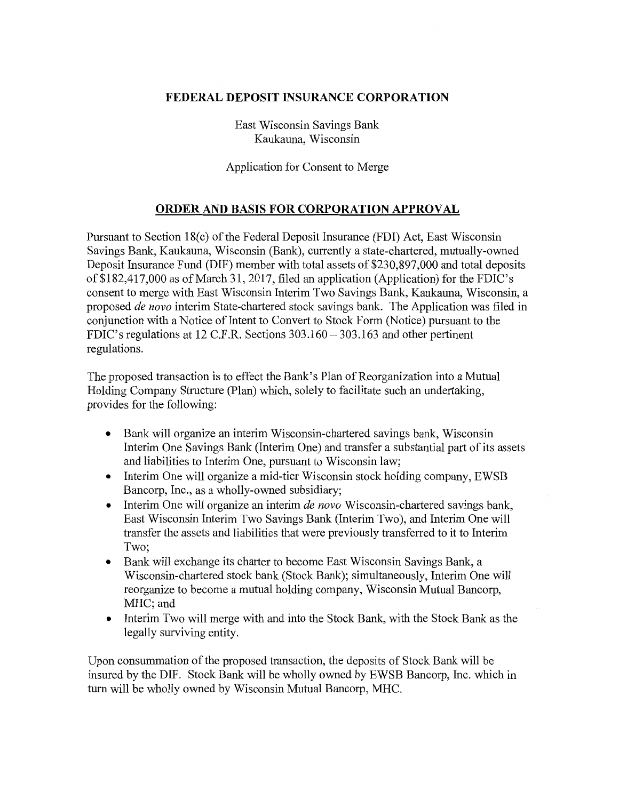## **FEDERAL DEPOSIT INSURANCE CORPORATION**

East Wisconsin Savings Bank Kaukauna, Wisconsin

Application for Consent to Merge

## **ORDER AND BASIS FOR CORPORATION APPROVAL**

Pursuant to Section 18(c) of the Federal Deposit Insurance (FDI) Act, East Wisconsin Savings Bank, Kaukauna, Wisconsin (Bank), currently a state-chartered, mutually-owned Deposit Insurance Fund (DIF) member with total assets of \$230,897,000 and total deposits of \$182,417,000 as of March 31, 2017, filed an application (Application) for the FDIC's consent to merge with East Wisconsin Interim Two Savings Bank, Kaukauna, Wisconsin, a proposed *de nova* interim State-chartered stock savings bank. The Application was filed in conjunction with a Notice of Intent to Convert to Stock Form (Notice) pursuant to the FDIC's regulations at 12 C.F.R. Sections 303.160 - 303.163 and other pertinent regulations.

The proposed transaction is to effect the Bank's Plan of Reorganization into a Mutual Holding Company Structure (Plan) which, solely to facilitate such an undertaking, provides for the following:

- Bank will organize an interim Wisconsin-chartered savings bank, Wisconsin Interim One Savings Bank (Interim One) and transfer a substantial part of its assets and liabilities to Interim One, pursuant to Wisconsin law;
- Interim One will organize a mid-tier Wisconsin stock holding company, EWSB Bancorp, Inc., as a wholly-owned subsidiary;
- Interim One will organize an interim *de nova* Wisconsin-chartered savings bank, East Wisconsin Interim Two Savings Bank (Interim Two), and Interim One will transfer the assets and liabilities that were previously transferred to it to Interim Two;
- Bank will exchange its charter to become East Wisconsin Savings Bank, a Wisconsin-chartered stock bank (Stock Bank); simultaneously, Interim One will reorganize to become a mutual holding company, Wisconsin Mutual Bancorp, MHC; and
- Interim Two will merge with and into the Stock Bank, with the Stock Bank as the legally surviving entity.

Upon consummation of the proposed transaction, the deposits of Stock Bank will be insured by the DIF. Stock Bank will be wholly owned by EWSB Bancorp, Inc. which in tum will be wholly owned by Wisconsin Mutual Bancorp, MHC.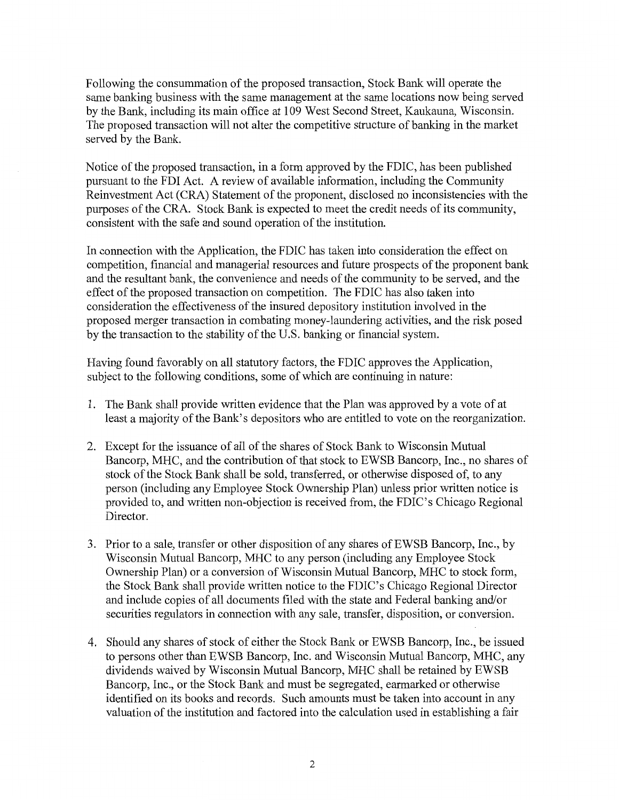Following the consummation of the proposed transaction, Stock Bank will operate the same banking business with the same management at the same locations now being served by the Bank, including its main office at 109 West Second Street, Kaukauna, Wisconsin. The proposed transaction will not alter the competitive structure of banking in the market served by the Bank.

Notice of the proposed transaction, in a form approved by the FDIC, has been published pursuant to the FDI Act. A review of available information, including the Community Reinvestment Act (CRA) Statement of the proponent, disclosed no inconsistencies with the purposes of the CRA. Stock Bank is expected to meet the credit needs of its community, consistent with the safe and sound operation of the institution.

In connection with the Application, the FDIC has taken into consideration the effect on competition, financial and managerial resources and future prospects of the proponent bank and the resultant bank, the convenience and needs of the community to be served, and the effect of the proposed transaction on competition. The FDIC has also taken into consideration the effectiveness of the insured depository institution involved in the proposed merger transaction in combating money-laundering activities, and the risk posed by the transaction to the stability of the U.S. banking or financial system.

Having found favorably on all statutory factors, the FDIC approves the Application, subject to the following conditions, some of which are continuing in nature:

- 1. The Bank shall provide written evidence that the Plan was approved by a vote of at least a majority of the Bank's depositors who are entitled to vote on the reorganization.
- 2. Except for the issuance of all of the shares of Stock Bank to Wisconsin Mutual Bancorp, MHC, and the contribution of that stock to EWSB Bancorp, Inc., no shares of stock of the Stock Bank shall be sold, transferred, or otherwise disposed of, to any person (including any Employee Stock Ownership Plan) unless prior written notice is provided to, and written non-objection is received from, the FDIC's Chicago Regional Director.
- 3. Prior to a sale, transfer or other disposition of any shares ofEWSB Bancorp, Inc., by Wisconsin Mutual Bancorp, MHC to any person (including any Employee Stock Ownership Plan) or a conversion of Wisconsin Mutual Bancorp, MHC to stock form, the Stock Bank shall provide written notice to the FDIC's Chicago Regional Director and include copies of all documents filed with the state and Federal banking and/or securities regulators in connection with any sale, transfer, disposition, or conversion.
- 4. Should any shares of stock of either the Stock Bank or EWSB Bancorp, Inc., be issued to persons other than EWSB Bancorp, Inc. and Wisconsin Mutual Bancorp, MHC, any dividends waived by Wisconsin Mutual Bancorp, MHC shall be retained by EWSB Bancorp, Inc., or the Stock Bank and must be segregated, earmarked or otherwise identified on its books and records. Such amounts must be taken into account in any valuation of the institution and factored into the calculation used in establishing a fair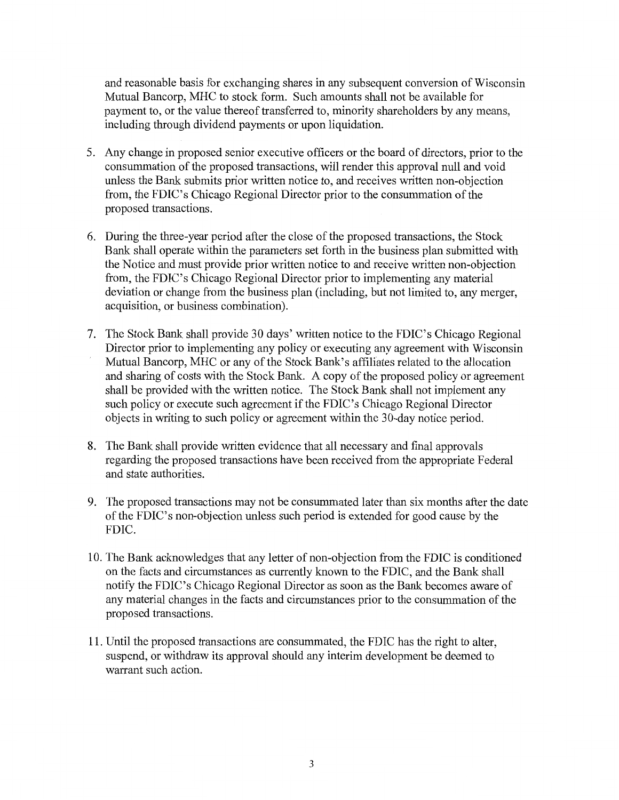and reasonable basis for exchanging shares in any subsequent conversion of Wisconsin Mutual Bancorp, MHC to stock form. Such amounts shall not be available for payment to, or the value thereof transferred to, minority shareholders by any means, including through dividend payments or upon liquidation.

- 5. Any change in proposed senior executive officers or the board of directors, prior to the consummation of the proposed transactions, will render this approval null and void unless the Bank submits prior written notice to, and receives written non-objection from, the FDIC's Chicago Regional Director prior to the consummation of the proposed transactions.
- 6. During the three-year period after the close of the proposed transactions, the Stock Bank shall operate within the parameters set forth in the business plan submitted with the Notice and must provide prior written notice to and receive written non-objection from, the FDIC's Chicago Regional Director prior to implementing any material deviation or change from the business plan (including, but not limited to, any merger, acquisition, or business combination).
- 7. The Stock Bank shall provide 30 days' written notice to the FDIC's Chicago Regional Director prior to implementing any policy or executing any agreement with Wisconsin Mutual Bancorp, MHC or any of the Stock Bank's affiliates related to the allocation and sharing of costs with the Stock Bank. A copy of the proposed policy or agreement shall be provided with the written notice. The Stock Bank shall not implement any such policy or execute such agreement if the FDIC's Chicago Regional Director objects in writing to such policy or agreement within the 30-day notice period.
- 8. The Bank shall provide written evidence that all necessary and final approvals regarding the proposed transactions have been received from the appropriate Federal and state authorities.
- 9. The proposed transactions may not be consummated later than six months after the date of the FDIC's non-objection unless such period is extended for good cause by the FDIC.
- 10. The Bank acknowledges that any letter of non-objection from the FDIC is conditioned on the facts and circumstances as currently known to the FDIC, and the Bank shall notify the FDIC's Chicago Regional Director as soon as the Bank becomes aware of any material changes in the facts and circumstances prior to the consummation of the proposed transactions.
- 11. Until the proposed transactions are consummated, the FDIC has the right to alter, suspend, or withdraw its approval should any interim development be deemed to warrant such action.